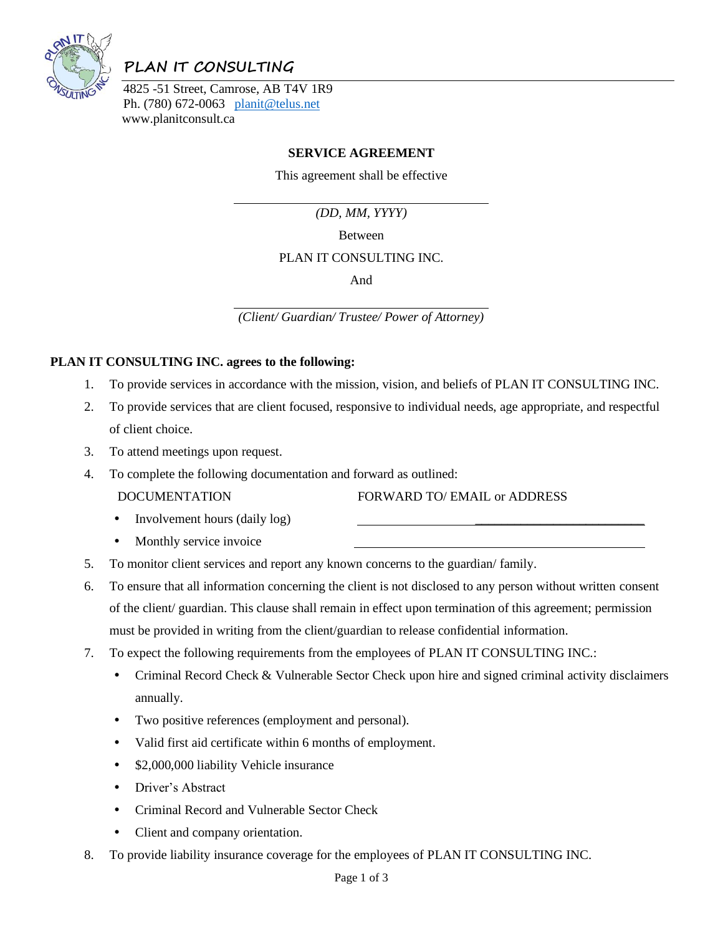

# **PLAN IT CONSULTING**

4825 -51 Street, Camrose, AB T4V 1R9 Ph. (780) 672-0063 [planit@telus.net](mailto:planit@telus.net) www.planitconsult.ca

## **SERVICE AGREEMENT**

This agreement shall be effective

*(DD, MM, YYYY)*

Between

#### PLAN IT CONSULTING INC.

And

*(Client/ Guardian/ Trustee/ Power of Attorney)*

#### **PLAN IT CONSULTING INC. agrees to the following:**

- 1. To provide services in accordance with the mission, vision, and beliefs of PLAN IT CONSULTING INC.
- 2. To provide services that are client focused, responsive to individual needs, age appropriate, and respectful of client choice.
- 3. To attend meetings upon request.
- 4. To complete the following documentation and forward as outlined:
	-

DOCUMENTATION FORWARD TO/ EMAIL or ADDRESS

- Involvement hours (daily log)
- Monthly service invoice
- 5. To monitor client services and report any known concerns to the guardian/ family.
- 6. To ensure that all information concerning the client is not disclosed to any person without written consent of the client/ guardian. This clause shall remain in effect upon termination of this agreement; permission must be provided in writing from the client/guardian to release confidential information.
- 7. To expect the following requirements from the employees of PLAN IT CONSULTING INC.:
	- Criminal Record Check & Vulnerable Sector Check upon hire and signed criminal activity disclaimers annually.
	- Two positive references (employment and personal).
	- Valid first aid certificate within 6 months of employment.
	- \$2,000,000 liability Vehicle insurance
	- Driver's Abstract
	- Criminal Record and Vulnerable Sector Check
	- Client and company orientation.
- 8. To provide liability insurance coverage for the employees of PLAN IT CONSULTING INC.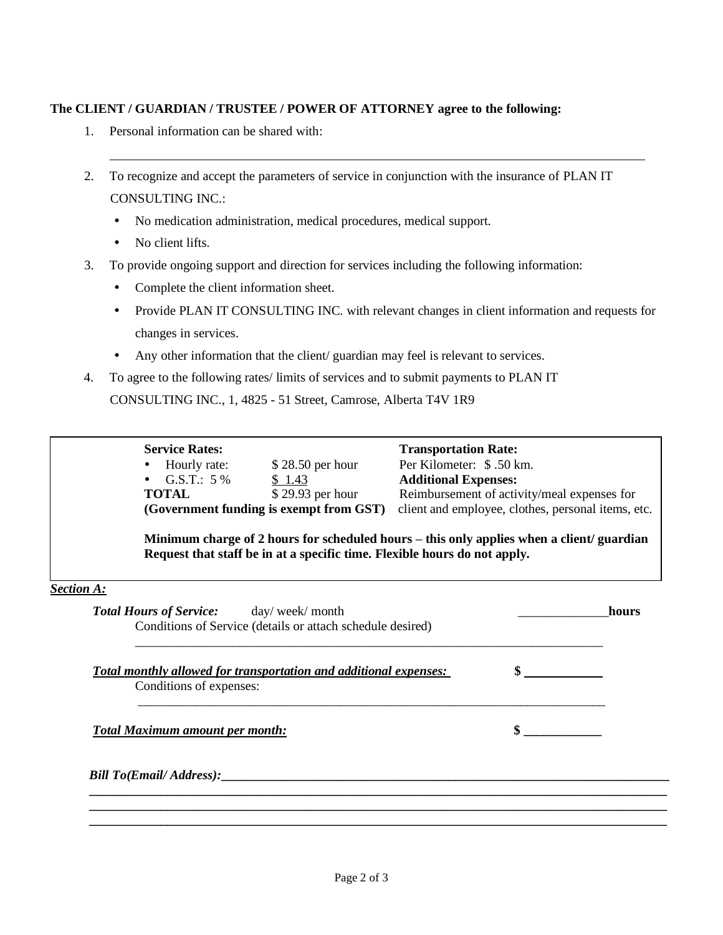### **The CLIENT / GUARDIAN / TRUSTEE / POWER OF ATTORNEY agree to the following:**

- 1. Personal information can be shared with:
- 2. To recognize and accept the parameters of service in conjunction with the insurance of PLAN IT CONSULTING INC.:
	- No medication administration, medical procedures, medical support.
	- No client lifts.
- 3. To provide ongoing support and direction for services including the following information:
	- Complete the client information sheet.
	- Provide PLAN IT CONSULTING INC. with relevant changes in client information and requests for changes in services.
	- Any other information that the client/ guardian may feel is relevant to services.
- 4. To agree to the following rates/ limits of services and to submit payments to PLAN IT

CONSULTING INC., 1, 4825 - 51 Street, Camrose, Alberta T4V 1R9

*Section A:* **Total Hours of Service:** day/ week/ month **hours** hours Conditions of Service (details or attach schedule desired) \_\_\_\_\_\_\_\_\_\_\_\_\_\_\_\_\_\_\_\_\_\_\_\_\_\_\_\_\_\_\_\_\_\_\_\_\_\_\_\_\_\_\_\_\_\_\_\_\_\_\_\_\_\_\_\_\_\_\_\_\_\_\_\_\_\_\_\_\_\_\_\_ *Total monthly allowed for transportation and additional expenses:* **\$**  Conditions of expenses: \_\_\_\_\_\_\_\_\_\_\_\_\_\_\_\_\_\_\_\_\_\_\_\_\_\_\_\_\_\_\_\_\_\_\_\_\_\_\_\_\_\_\_\_\_\_\_\_\_\_\_\_\_\_\_\_\_\_\_\_\_\_\_\_\_\_\_\_\_\_\_\_ *Total Maximum amount per month:* **\$ \_\_\_\_\_\_\_\_\_\_\_\_**  *Bill To(Email/ Address):*  **\_\_\_\_\_\_\_\_\_\_\_\_\_\_\_\_\_\_\_\_\_\_\_\_\_\_\_\_\_\_\_\_\_\_\_\_\_\_\_\_\_\_\_\_\_\_\_\_\_\_\_\_\_\_\_\_\_\_\_\_\_\_\_\_\_\_\_\_\_\_\_\_\_\_\_\_\_\_\_\_\_\_\_\_\_\_\_\_\_ \_\_\_\_\_\_\_\_\_\_\_\_\_\_\_\_\_\_\_\_\_\_\_\_\_\_\_\_\_\_\_\_\_\_\_\_\_\_\_\_\_\_\_\_\_\_\_\_\_\_\_\_\_\_\_\_\_\_\_\_\_\_\_\_\_\_\_\_\_\_\_\_\_\_\_\_\_\_\_\_\_\_\_\_\_\_\_\_\_ \_\_\_\_\_\_\_\_\_\_\_\_\_\_\_\_\_\_\_\_\_\_\_\_\_\_\_\_\_\_\_\_\_\_\_\_\_\_\_\_\_\_\_\_\_\_\_\_\_\_\_\_\_\_\_\_\_\_\_\_\_\_\_\_\_\_\_\_\_\_\_\_\_\_\_\_\_\_\_\_\_\_\_\_\_\_\_\_\_ Service Rates:** Transportation Rate: • Hourly rate: \$ 28.50 per hour Per Kilometer: \$ .50 km. • G.S.T.: 5 %  $\frac{\$ 1.43}{\$ 29.93 \text{ per hour}}$  **Additional Expenses:**<br>**TOTAL**  $\frac{\$ 29.93 \text{ per hour}}{\$ 29.93 \text{ per hour}}$ **TOTAL** \$29.93 per hour Reimbursement of activity/meal expenses for **(Government funding is exempt from GST)** client and employee, clothes, personal items, etc. **Minimum charge of 2 hours for scheduled hours – this only applies when a client/ guardian Request that staff be in at a specific time. Flexible hours do not apply.**